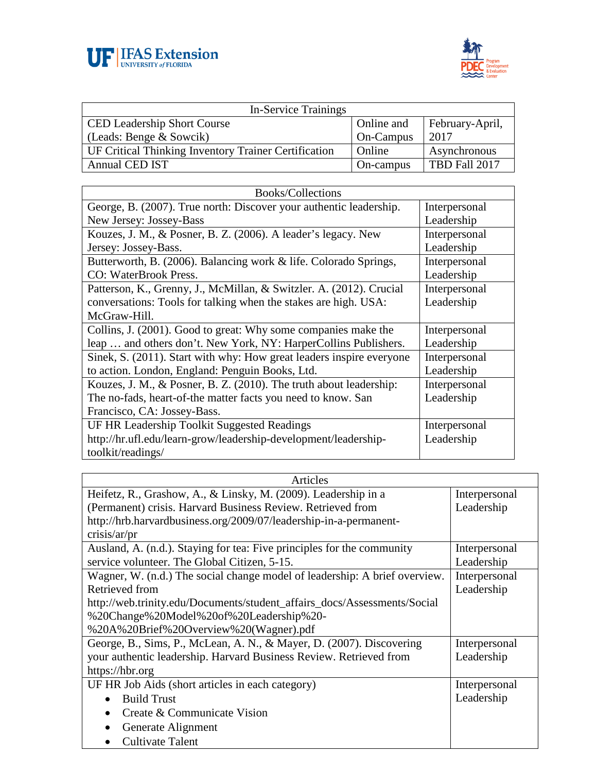



| <b>In-Service Trainings</b>                          |            |                 |
|------------------------------------------------------|------------|-----------------|
| <b>CED Leadership Short Course</b>                   | Online and | February-April, |
| (Leads: Benge & Sowcik)                              | On-Campus  | 2017            |
| UF Critical Thinking Inventory Trainer Certification | Online     | Asynchronous    |
| <b>Annual CED IST</b>                                | On-campus  | TBD Fall 2017   |

| Books/Collections                                                    |               |  |
|----------------------------------------------------------------------|---------------|--|
| George, B. (2007). True north: Discover your authentic leadership.   | Interpersonal |  |
| New Jersey: Jossey-Bass                                              | Leadership    |  |
| Kouzes, J. M., & Posner, B. Z. (2006). A leader's legacy. New        | Interpersonal |  |
| Jersey: Jossey-Bass.                                                 | Leadership    |  |
| Butterworth, B. (2006). Balancing work & life. Colorado Springs,     | Interpersonal |  |
| CO: WaterBrook Press.                                                | Leadership    |  |
| Patterson, K., Grenny, J., McMillan, & Switzler. A. (2012). Crucial  | Interpersonal |  |
| conversations: Tools for talking when the stakes are high. USA:      | Leadership    |  |
| McGraw-Hill.                                                         |               |  |
| Collins, J. (2001). Good to great: Why some companies make the       | Interpersonal |  |
| leap  and others don't. New York, NY: HarperCollins Publishers.      | Leadership    |  |
| Sinek, S. (2011). Start with why: How great leaders inspire everyone | Interpersonal |  |
| to action. London, England: Penguin Books, Ltd.                      | Leadership    |  |
| Kouzes, J. M., & Posner, B. Z. (2010). The truth about leadership:   | Interpersonal |  |
| The no-fads, heart-of-the matter facts you need to know. San         | Leadership    |  |
| Francisco, CA: Jossey-Bass.                                          |               |  |
| UF HR Leadership Toolkit Suggested Readings                          | Interpersonal |  |
| http://hr.ufl.edu/learn-grow/leadership-development/leadership-      | Leadership    |  |
| toolkit/readings/                                                    |               |  |

| Articles                                                                   |               |
|----------------------------------------------------------------------------|---------------|
| Heifetz, R., Grashow, A., & Linsky, M. (2009). Leadership in a             | Interpersonal |
| (Permanent) crisis. Harvard Business Review. Retrieved from                | Leadership    |
| http://hrb.harvardbusiness.org/2009/07/leadership-in-a-permanent-          |               |
| crisis/ar/pr                                                               |               |
| Ausland, A. (n.d.). Staying for tea: Five principles for the community     | Interpersonal |
| service volunteer. The Global Citizen, 5-15.                               | Leadership    |
| Wagner, W. (n.d.) The social change model of leadership: A brief overview. | Interpersonal |
| Retrieved from                                                             | Leadership    |
| http://web.trinity.edu/Documents/student_affairs_docs/Assessments/Social   |               |
| %20Change%20Model%20of%20Leadership%20-                                    |               |
| %20A%20Brief%20Overview%20(Wagner).pdf                                     |               |
| George, B., Sims, P., McLean, A. N., & Mayer, D. (2007). Discovering       | Interpersonal |
| your authentic leadership. Harvard Business Review. Retrieved from         | Leadership    |
| https://hbr.org                                                            |               |
| UF HR Job Aids (short articles in each category)                           | Interpersonal |
| <b>Build Trust</b><br>$\bullet$                                            | Leadership    |
| Create & Communicate Vision<br>$\bullet$                                   |               |
| Generate Alignment<br>$\bullet$                                            |               |
| <b>Cultivate Talent</b><br>$\bullet$                                       |               |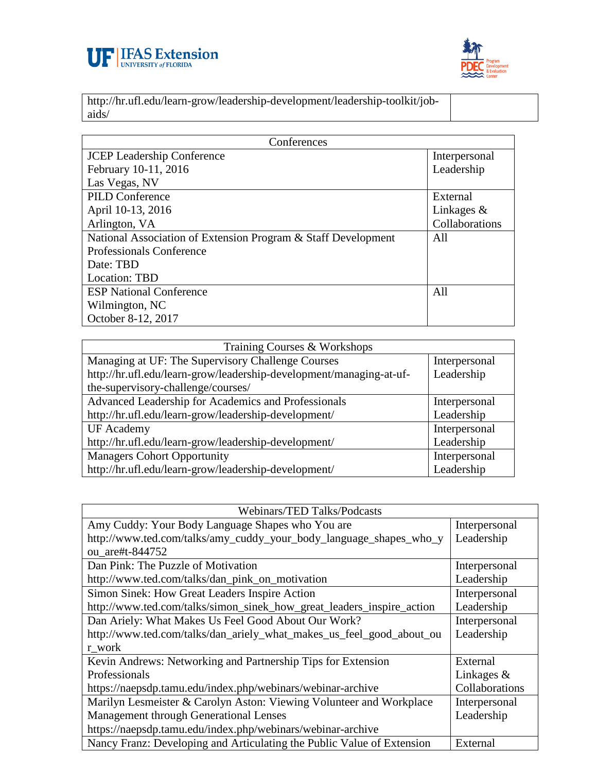



http://hr.ufl.edu/learn-grow/leadership-development/leadership-toolkit/jobaids/

| Conferences                                                   |                |  |
|---------------------------------------------------------------|----------------|--|
| <b>JCEP</b> Leadership Conference                             | Interpersonal  |  |
| February 10-11, 2016                                          | Leadership     |  |
| Las Vegas, NV                                                 |                |  |
| <b>PILD Conference</b>                                        | External       |  |
| April 10-13, 2016                                             | Linkages $\&$  |  |
| Arlington, VA                                                 | Collaborations |  |
| National Association of Extension Program & Staff Development | All            |  |
| Professionals Conference                                      |                |  |
| Date: TBD                                                     |                |  |
| Location: TBD                                                 |                |  |
| <b>ESP National Conference</b>                                | All            |  |
| Wilmington, NC                                                |                |  |
| October 8-12, 2017                                            |                |  |

| Training Courses & Workshops                                        |               |  |
|---------------------------------------------------------------------|---------------|--|
| Managing at UF: The Supervisory Challenge Courses                   | Interpersonal |  |
| http://hr.ufl.edu/learn-grow/leadership-development/managing-at-uf- | Leadership    |  |
| the-supervisory-challenge/courses/                                  |               |  |
| Advanced Leadership for Academics and Professionals                 | Interpersonal |  |
| http://hr.ufl.edu/learn-grow/leadership-development/                | Leadership    |  |
| <b>UF</b> Academy                                                   | Interpersonal |  |
| http://hr.ufl.edu/learn-grow/leadership-development/                | Leadership    |  |
| <b>Managers Cohort Opportunity</b>                                  | Interpersonal |  |
| http://hr.ufl.edu/learn-grow/leadership-development/                | Leadership    |  |

| <b>Webinars/TED Talks/Podcasts</b>                                     |                |
|------------------------------------------------------------------------|----------------|
| Amy Cuddy: Your Body Language Shapes who You are                       | Interpersonal  |
| http://www.ted.com/talks/amy_cuddy_your_body_language_shapes_who_y     | Leadership     |
| ou are#t-844752                                                        |                |
| Dan Pink: The Puzzle of Motivation                                     | Interpersonal  |
| http://www.ted.com/talks/dan_pink_on_motivation                        | Leadership     |
| Simon Sinek: How Great Leaders Inspire Action                          | Interpersonal  |
| http://www.ted.com/talks/simon_sinek_how_great_leaders_inspire_action  | Leadership     |
| Dan Ariely: What Makes Us Feel Good About Our Work?                    | Interpersonal  |
| http://www.ted.com/talks/dan_ariely_what_makes_us_feel_good_about_ou   | Leadership     |
| r work                                                                 |                |
| Kevin Andrews: Networking and Partnership Tips for Extension           | External       |
| Professionals                                                          | Linkages $\&$  |
| https://naepsdp.tamu.edu/index.php/webinars/webinar-archive            | Collaborations |
| Marilyn Lesmeister & Carolyn Aston: Viewing Volunteer and Workplace    | Interpersonal  |
| Management through Generational Lenses                                 | Leadership     |
| https://naepsdp.tamu.edu/index.php/webinars/webinar-archive            |                |
| Nancy Franz: Developing and Articulating the Public Value of Extension | External       |